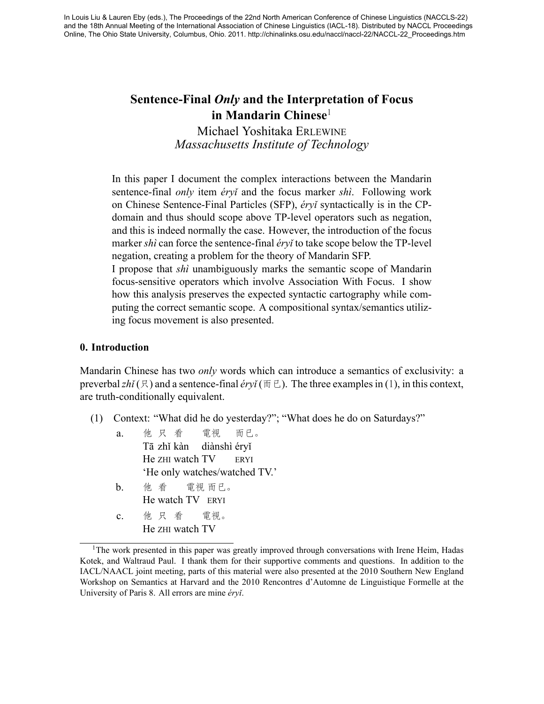# **Sentence-Final** *Only* **and the Interpretation of Focus in Mandarin Chinese**1

Michael Yoshitaka ERLEWINE *Massachusetts Institute of Technology*

In this paper I document the complex interactions between the Mandarin sentence-final *only* item *éryǐ* and the focus marker *shì*. Following work on Chinese Sentence-Final Particles (SFP), *éryǐ* syntactically is in the CPdomain and thus should scope above TP-level operators such as negation, and this is indeed normally the case. However, the introduction of the focus marker *shì* can force the sentence-final *éryǐ* to take scope below the TP-level negation, creating a problem for the theory of Mandarin SFP.

I propose that *shì* unambiguously marks the semantic scope of Mandarin focus-sensitive operators which involve Association With Focus. I show how this analysis preserves the expected syntactic cartography while computing the correct semantic scope. A compositional syntax/semantics utilizing focus movement is also presented.

# **0. Introduction**

Mandarin Chinese has two *only* words which can introduce a semantics of exclusivity: a preverbal  $zh<sup>i</sup>(\mathcal{R})$  and a sentence-final *éryi* ( $\overline{m} \in$ ). The three examples in [\(1](#page-0-0)), in this context, are truth-conditionally equivalent.

- <span id="page-0-0"></span>(1) Context: "What did he do yesterday?"; "What does he do on Saturdays?"
	- a. 他 只 看 Tā zhǐ kàn diànshì éryǐ He ZHI watch TV 電視 而已。 ERYI 'He only watches/watched TV.'
	- $\mathbf b$ . He watch TV ERYI 他 看 電視 而已。
	- c. 他 只 看 He ZHI watch TV 電視。

<sup>&</sup>lt;sup>1</sup>The work presented in this paper was greatly improved through conversations with Irene Heim, Hadas Kotek, and Waltraud Paul. I thank them for their supportive comments and questions. In addition to the IACL/NAACL joint meeting, parts of this material were also presented at the 2010 Southern New England Workshop on Semantics at Harvard and the 2010 Rencontres d'Automne de Linguistique Formelle at the University of Paris 8. All errors are mine *éryǐ*.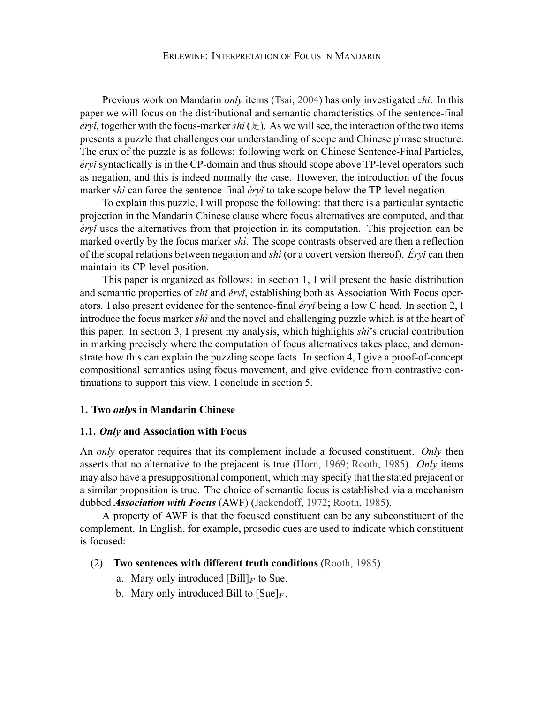Previous work on Mandarin *only* items [\(Tsai,](#page-16-0) [2004\)](#page-16-0) has only investigated *zhǐ*. In this paper we will focus on the distributional and semantic characteristics of the sentence-final *éryǐ*, together with the focus-marker *shì* ( $\frac{1}{2}$ ). As we will see, the interaction of the two items presents a puzzle that challenges our understanding of scope and Chinese phrase structure. The crux of the puzzle is as follows: following work on Chinese Sentence-Final Particles, *éryǐ* syntactically is in the CP-domain and thus should scope above TP-level operators such as negation, and this is indeed normally the case. However, the introduction of the focus marker *shì* can force the sentence-final *éryǐ* to take scope below the TP-level negation.

To explain this puzzle, I will propose the following: that there is a particular syntactic projection in the Mandarin Chinese clause where focus alternatives are computed, and that *éryǐ* uses the alternatives from that projection in its computation. This projection can be marked overtly by the focus marker *shì*. The scope contrasts observed are then a reflection of the scopal relations between negation and *shì* (or a covert version thereof). *Éryǐ* can then maintain its CP-level position.

This paper is organized as follows: in section 1, I will present the basic distribution and semantic properties of *zhǐ* and *éryǐ*, establishing both as Association With Focus operators. I also present evidence for the sentence-final *éryǐ* being a low C head. In section 2, I introduce the focus marker *shì* and the novel and challenging puzzle which is at the heart of this paper. In section 3, I present my analysis, which highlights *shì*'s crucial contribution in marking precisely where the computation of focus alternatives takes place, and demonstrate how this can explain the puzzling scope facts. In section 4, I give a proof-of-concept compositional semantics using focus movement, and give evidence from contrastive continuations to support this view. I conclude in section 5.

#### **1. Two** *only***s in Mandarin Chinese**

#### **1.1.** *Only* **and Association with Focus**

An *only* operator requires that its complement include a focused constituent. *Only* then asserts that no alternative to the prejacent is true([Horn](#page-15-0), [1969](#page-15-0); [Rooth](#page-16-1), [1985](#page-16-1)). *Only* items may also have a presuppositional component, which may specify that the stated prejacent or a similar proposition is true. The choice of semantic focus is established via a mechanism dubbed *Association with Focus* (AWF)([Jackendoff,](#page-15-1) [1972;](#page-15-1) [Rooth](#page-16-1), [1985](#page-16-1)).

A property of AWF is that the focused constituent can be any subconstituent of the complement. In English, for example, prosodic cues are used to indicate which constituent is focused:

### (2) **Two sentences with different truth conditions** [\(Rooth](#page-16-1), [1985](#page-16-1))

- a. Mary only introduced  $[Bill]_F$  to Sue.
- b. Mary only introduced Bill to  $[Sue]_F$ .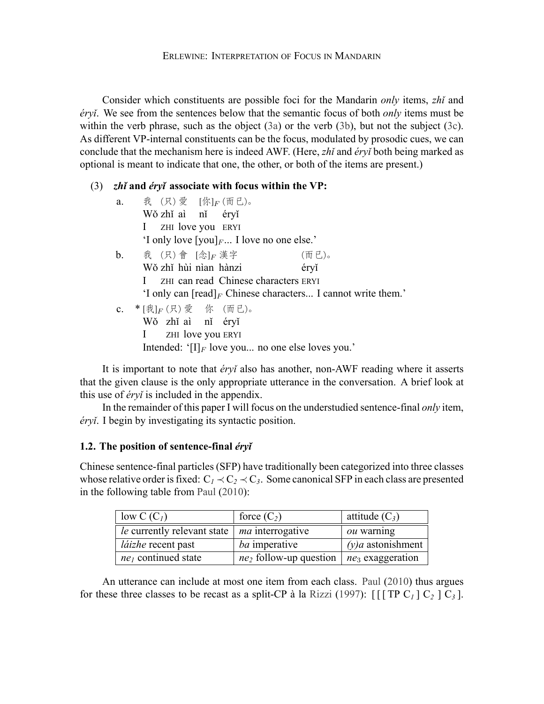Consider which constituents are possible foci for the Mandarin *only* items, *zhǐ* and *éryǐ*. We see from the sentences below that the semantic focus of both *only* items must be within the verb phrase, such as the object([3a\)](#page-2-0) or the verb [\(3b](#page-2-1)), but not the subject([3c](#page-2-2)). As different VP-internal constituents can be the focus, modulated by prosodic cues, we can conclude that the mechanism here is indeed AWF. (Here, *zhǐ* and *éryǐ* both being marked as optional is meant to indicate that one, the other, or both of the items are present.)

# <span id="page-2-0"></span>(3) *zhǐ* **and** *éryǐ* **associate with focus within the VP:**

<span id="page-2-1"></span>

| a.                                                   | 我 (只) 愛 [你] F (而已)。                                             |       |  |  |  |  |
|------------------------------------------------------|-----------------------------------------------------------------|-------|--|--|--|--|
|                                                      | Wǒ zhǐ aì nǐ éryǐ                                               |       |  |  |  |  |
|                                                      | ZHI love you ERYI<br>$\mathbf{I}$                               |       |  |  |  |  |
|                                                      | 'I only love $[you]_F$ I love no one else.'                     |       |  |  |  |  |
|                                                      | b. 我 $(R)$ 會 $[\hat{\mathcal{R}}]_F$ 漢字                         | (而已)。 |  |  |  |  |
|                                                      | Wǒ zhǐ hùi nìan hànzi                                           | éryĭ  |  |  |  |  |
| ZHI can read Chinese characters ERYI                 |                                                                 |       |  |  |  |  |
|                                                      | 'I only can $[read]_F$ Chinese characters I cannot write them.' |       |  |  |  |  |
|                                                      | c. * [我] $_F$ (只) 愛 你 (而已)。                                     |       |  |  |  |  |
|                                                      | Wǒ zhǐ aì nǐ éryǐ                                               |       |  |  |  |  |
|                                                      | I ZHI love you ERYI                                             |       |  |  |  |  |
| Intended: ' $[I]_F$ love you no one else loves you.' |                                                                 |       |  |  |  |  |

<span id="page-2-2"></span>It is important to note that *éryǐ* also has another, non-AWF reading where it asserts that the given clause is the only appropriate utterance in the conversation. A brief look at this use of *éryǐ* is included in the appendix.

In the remainder of this paper I will focus on the understudied sentence-final *only* item, *éryǐ*. I begin by investigating its syntactic position.

# **1.2. The position of sentence-final** *éryǐ*

Chinese sentence-final particles (SFP) have traditionally been categorized into three classes whose relative order is fixed:  $C_1 \prec C_2 \prec C_3$ . Some canonical SFP in each class are presented in the following table from [Paul](#page-16-2) [\(2010\)](#page-16-2):

| low $C(C_1)$                | force $(C_2)$             | attitude $(C_3)$    |
|-----------------------------|---------------------------|---------------------|
| le currently relevant state | <i>ma</i> interrogative   | <i>ou</i> warning   |
| <i>láizhe</i> recent past   | <i>ba</i> imperative      | $(y)a$ astonishment |
| $ne_1$ continued state      | $ne_2$ follow-up question | $ne3$ exaggeration  |

An utterance can include at most one item from each class. [Paul](#page-16-2) [\(2010](#page-16-2)) thus argues for these three classes to be recast as a split-CP à la [Rizzi](#page-16-3) ([1997](#page-16-3)):  $\lceil \lceil \text{TP } C_1 \rceil C_2 \rceil C_3 \rceil$ .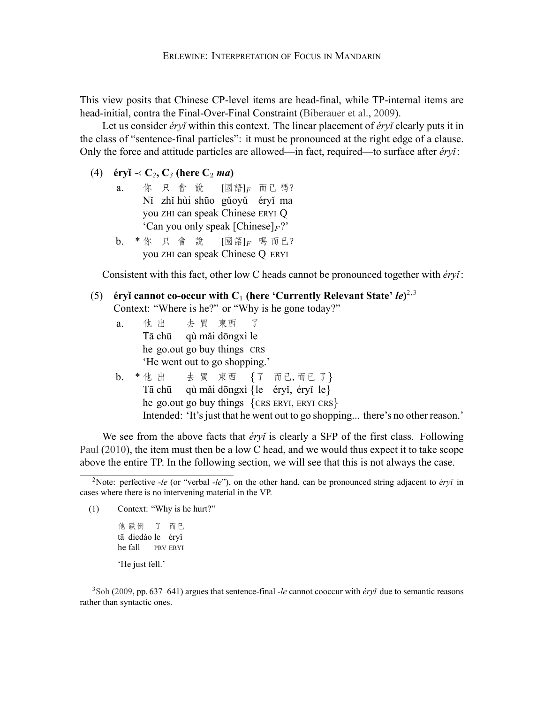This view posits that Chinese CP-level items are head-final, while TP-internal items are head-initial, contra the Final-Over-Final Constraint [\(Biberauer et al.,](#page-15-2) [2009\)](#page-15-2).

Let us consider *éryǐ* within this context. The linear placement of *éryǐ* clearly puts it in the class of "sentence-final particles": it must be pronounced at the right edge of a clause. Only the force and attitude particles are allowed—in fact, required—to surface after *éryǐ*:

- (4)  $\acute{\textbf{e}}$ ryǐ  $\prec$   $\textbf{C}_2$ ,  $\textbf{C}_3$  (here  $\textbf{C}_2$  *ma*)
	- a. 你只會說 Nǐ zhǐ hùi shūo gǔoyǔ éryǐ ma you ZHI can speak Chinese ERYI Q [國語] $_F$  而已 嗎? 'Can you only speak  $[Chinese]_F$ ?'
	- b. \*你 只 會 說 you ZHI can speak Chinese Q ERYI [國語] $_F$  嗎 而已?

Consistent with this fact, other low C heads cannot be pronounced together with *éryǐ*:

# (5) **éryǐ cannot co-occur with**  $C_1$  **(here 'Currently Relevant State'** *le***)<sup>2,3</sup>** Context: "Where is he?" or "Why is he gone today?"

- a. 他 出 Tā chū he go.out go buy things CRS 去 買 東西 qù mǎi dōngxì le 了 'He went out to go shopping.'
- b. \* 他 出 Tā chū qù mǎi dōngxì *{*le éryǐ, éryǐ le*}* he go.out go buy things *{*CRS ERYI, ERYI CRS*}* 去 買 東西 *{*了 而已, 而已 了*}* Intended: 'It's just that he went out to go shopping... there's no other reason.'

We see from the above facts that *éry* is clearly a SFP of the first class. Following [Paul](#page-16-2) [\(2010\)](#page-16-2), the item must then be a low C head, and we would thus expect it to take scope above the entire TP. In the following section, we will see that this is not always the case.

(1) Context: "Why is he hurt?"

他 跌倒 tā díedào le éryǐ he fall 了 而已 PRV ERYI 'He just fell.'

<sup>3</sup>[Soh](#page-16-4) [\(2009](#page-16-4), pp. 637–641) argues that sentence-final *-le* cannot cooccur with *éryǐ* due to semantic reasons rather than syntactic ones.

<sup>2</sup>Note: perfective *-le* (or "verbal *-le*"), on the other hand, can be pronounced string adjacent to *éryǐ* in cases where there is no intervening material in the VP.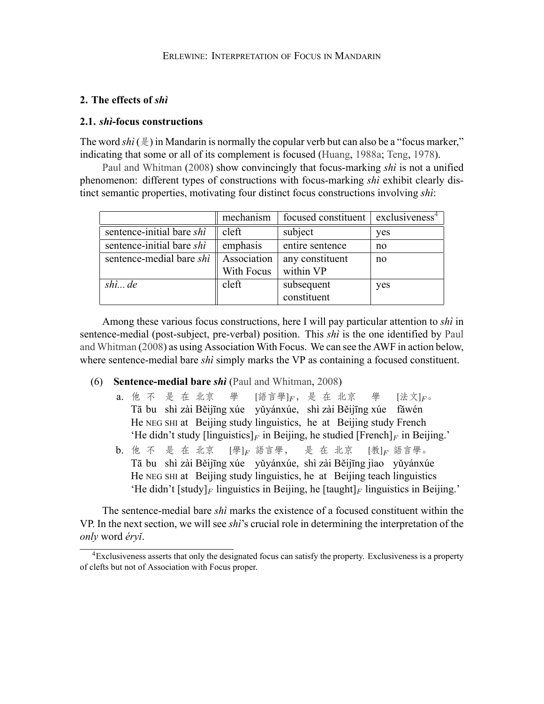## **2. The effects of** *shì*

### **2.1.** *shì***-focus constructions**

The word  $\sin(\frac{\pi}{6})$  in Mandarin is normally the copular verb but can also be a "focus marker." indicating that some or all of its complement is focused [\(Huang](#page-15-3), [1988a](#page-15-3); [Teng](#page-16-5), [1978](#page-16-5)).

[Paul and Whitman](#page-16-6) [\(2008](#page-16-6)) show convincingly that focus-marking *shì* is not a unified phenomenon: different types of constructions with focus-marking *shì* exhibit clearly distinct semantic properties, motivating four distinct focus constructions involving *shì*:

|                           | mechanism   | focused constituent $\vert$ exclusiveness <sup>4</sup> |     |
|---------------------------|-------------|--------------------------------------------------------|-----|
| sentence-initial bare shi | cleft       | subject                                                | yes |
| sentence-initial bare shi | emphasis    | entire sentence                                        | no  |
| sentence-medial bare shi  | Association | any constituent                                        | no  |
|                           | With Focus  | within VP                                              |     |
| $\sinh$ de                | cleft       | subsequent                                             | yes |
|                           |             | constituent                                            |     |

Among these various focus constructions, here I will pay particular attention to *shì* in sentence-medial (post-subject, pre-verbal) position. This *shì* is the one identified by [Paul](#page-16-6) [and Whitman](#page-16-6) ([2008\)](#page-16-6) as using Association With Focus. We can see the AWF in action below, where sentence-medial bare *shì* simply marks the VP as containing a focused constituent.

- (6) **Sentence-medial bare** *shì* [\(Paul and Whitman](#page-16-6), [2008\)](#page-16-6)
	- a. 他 不 是 在 北京 Tā bu shì zài Běijīng xúe yǔyánxúe, shì zài Běijīng xúe fǎwén He NEG SHI at Beijing study linguistics, he at Beijing study French 學 [語言學]<sub>F</sub>, 是 在 北京 學 [法文]*F*。 'He didn't study  $\left[\text{linguistics}\right]_F$  in Beijing, he studied  $\left[\text{French}\right]_F$  in Beijing.'
	- b. 他 不 是 在 北京 Tā bu shì zài Běijīng xúe yǔyánxúe, shì zài Běijīng jìao yǔyánxúe He NEG SHI at Beijing study linguistics, he at Beijing teach linguistics [學]*<sup>F</sup>* 語言學, 是 在 北京 [教]*<sup>F</sup>* 語言學。 'He didn't [study]<sub>F</sub> linguistics in Beijing, he [taught]<sub>F</sub> linguistics in Beijing.'

The sentence-medial bare *shì* marks the existence of a focused constituent within the VP. In the next section, we will see *shì*'s crucial role in determining the interpretation of the *only* word *éryǐ*.

<sup>4</sup>Exclusiveness asserts that only the designated focus can satisfy the property. Exclusiveness is a property of clefts but not of Association with Focus proper.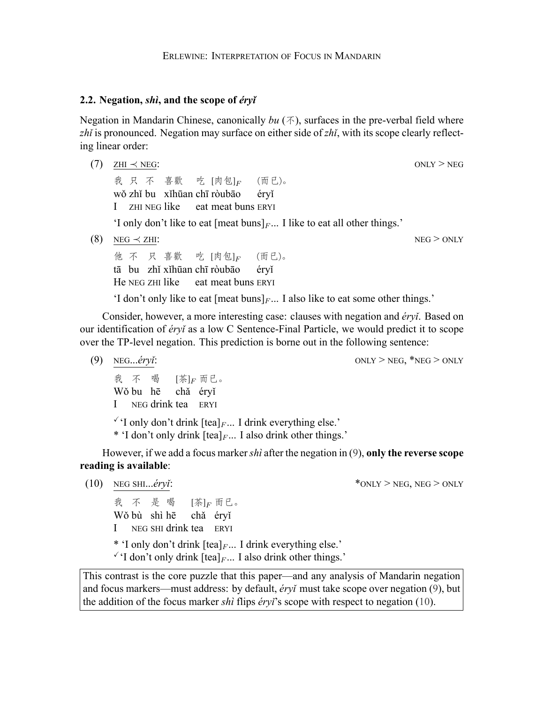### **2.2. Negation,** *shì***, and the scope of** *éryǐ*

Negation in Mandarin Chinese, canonically  $bu(\mathcal{F})$ , surfaces in the pre-verbal field where *zhǐ* is pronounced. Negation may surface on either side of *zhǐ*, with its scope clearly reflecting linear order:

(7) ZHI *≺* NEG: ONLY > NEG 我 只 不 喜歡 wǒ zhǐ bu xǐhūan chī ròubāo I ZHI NEG like 吃 [肉包]*<sup>F</sup>* eat meat buns ERYI (而已)。 éryǐ 'I only don't like to eat [meat buns]*<sup>F</sup>* ... I like to eat all other things.' (8) NEG *≺* ZHI: NEG > ONLY 他 不 只 喜歡 tā bu zhǐ xǐhūan chī ròubāo He NEG ZHI like 吃 [肉包]*<sup>F</sup>* eat meat buns ERYI (而已)。 éryǐ

'I don't only like to eat  ${\lceil}$  [meat buns] $F$ ... I also like to eat some other things.'

Consider, however, a more interesting case: clauses with negation and *éryǐ*. Based on our identification of *éryǐ* as a low C Sentence-Final Particle, we would predict it to scope over the TP-level negation. This prediction is borne out in the following sentence:

- <span id="page-5-0"></span>(9) NEG...*éryǐ*:  $ONLY > NEG$ , \*NEG > ONLY
	- 我 不 Wǒ bu hē I NEG drink tea ERYI 喝 [茶]*<sup>F</sup>* 而已。 chǎ éryǐ

 $\check{Y}$  only don't drink  $[\text{tea}]_F$ ... I drink everything else.'

\* 'I don't only drink [tea]*<sup>F</sup>* ... I also drink other things.'

However, if we add a focus marker*shì* after the negation in [\(9](#page-5-0)), **only the reverse scope reading is available**:

我 不 是 喝 Wǒ bù shì hē I NEG SHI drink tea ERYI [茶]*<sup>F</sup>* 而已。 chǎ éryǐ

\* 'I only don't drink [tea]*<sup>F</sup>* ... I drink everything else.'

 $\checkmark$  I don't only drink [tea]<sub>*F*</sub>... I also drink other things.'

This contrast is the core puzzle that this paper—and any analysis of Mandarin negation and focus markers—must address: by default, *éryǐ* must take scope over negation [\(9](#page-5-0)), but the addition of the focus marker *shì* flips *éryǐ*'s scope with respect to negation([10\)](#page-5-1).

<span id="page-5-1"></span>(10) NEG SHI... $éry\ddot{i}$ :  $\star$  ONLY > NEG, NEG > ONLY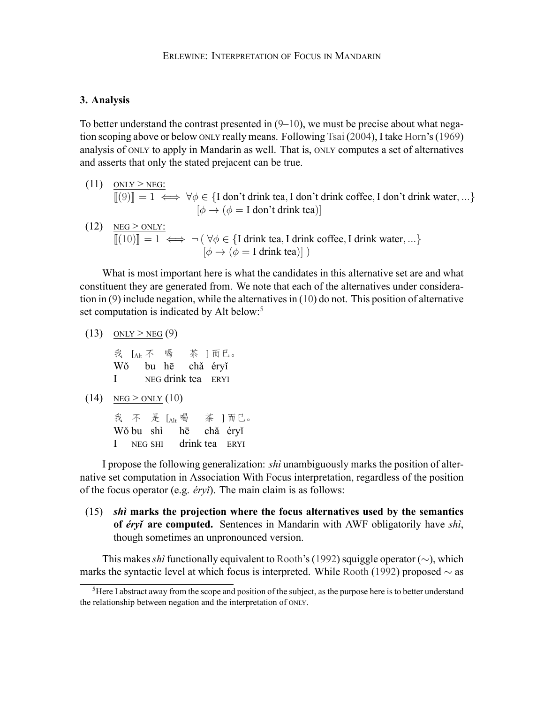#### **3. Analysis**

To better understand the contrast presented in  $(9-10)$  $(9-10)$ , we must be precise about what negation scoping above or below ONLY really means. Following [Tsai](#page-16-0) [\(2004](#page-16-0)), I take [Horn](#page-15-0)'s [\(1969](#page-15-0)) analysis of ONLY to apply in Mandarin as well. That is, ONLY computes a set of alternatives and asserts that only the stated prejacent can be true.

- $(11)$  ONLY > NEG:  $\llbracket (9) \rrbracket = 1 \iff \forall \phi \in \{I \text{ don't drink tea, I don't drink coffee, I don't drink water, ...\}$  $\llbracket (9) \rrbracket = 1 \iff \forall \phi \in \{I \text{ don't drink tea, I don't drink coffee, I don't drink water, ...\}$  $\llbracket (9) \rrbracket = 1 \iff \forall \phi \in \{I \text{ don't drink tea, I don't drink coffee, I don't drink water, ...\}$  $[\phi \rightarrow (\phi = I \text{ don't drink tea})]$
- $(12)$  NEG > ONLY:  $[[(10)]] = 1 \iff \neg (\forall \phi \in \{\text{I drink tea}, \text{I drink coffee}, \text{I drink water}, ...\})$  $[[(10)]] = 1 \iff \neg (\forall \phi \in \{\text{I drink tea}, \text{I drink coffee}, \text{I drink water}, ...\})$  $[[(10)]] = 1 \iff \neg (\forall \phi \in \{\text{I drink tea}, \text{I drink coffee}, \text{I drink water}, ...\})$   $[\phi \to (\phi = \text{I drink tea})] )$

What is most important here is what the candidates in this alternative set are and what constituent they are generated from. We note that each of the alternatives under consideration in [\(9](#page-5-0)) include negation, while the alternatives in([10\)](#page-5-1) do not. This position of alternative set computation is indicated by Alt below:<sup>5</sup>

$$
(13) \quad \underline{\text{ONLY}} > \underline{\text{NEG}}(9)
$$

我 LAIt 不 喝 茶 ] 而已。 Wǒ bu hē chǎ éryǐ I<sub>I</sub> NEG drink tea ERYI

 $(14)$  NEG > ONLY  $(10)$  $(10)$ 

我 不 是 [Alt 喝 茶 ] 而已。 Wǒ bu shì I NEG SHI hē chǎ éryǐ drink tea ERYI

I propose the following generalization: *shì* unambiguously marks the position of alternative set computation in Association With Focus interpretation, regardless of the position of the focus operator (e.g. *éryǐ*). The main claim is as follows:

<span id="page-6-0"></span>(15) *shì* **marks the projection where the focus alternatives used by the semantics of** *éryǐ* **are computed.** Sentences in Mandarin with AWF obligatorily have *shì*, though sometimes an unpronounced version.

This makes*shì* functionally equivalent to [Rooth'](#page-16-7)s([1992\)](#page-16-7) squiggle operator (*∼*), which marks the syntactic level at which focus is interpreted. While [Rooth](#page-16-7) [\(1992](#page-16-7)) proposed *∼* as

 $<sup>5</sup>$  Here I abstract away from the scope and position of the subject, as the purpose here is to better understand</sup> the relationship between negation and the interpretation of ONLY.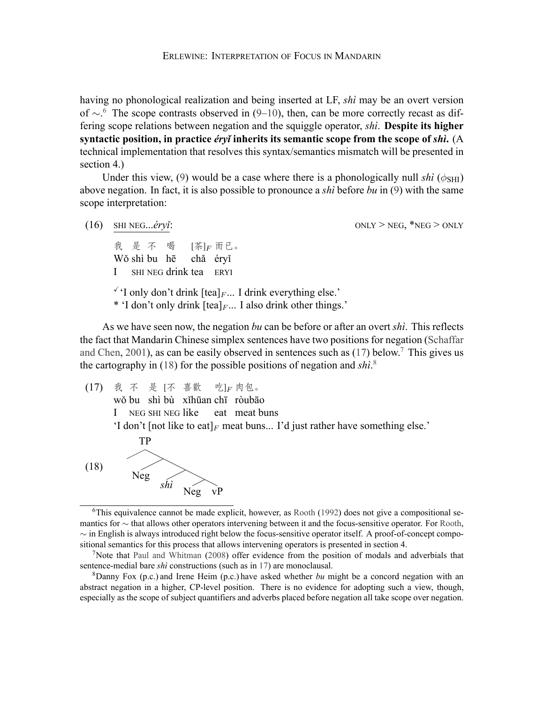having no phonological realization and being inserted at LF, *shì* may be an overt version of *∼*. 6 The scope contrasts observed in([9–](#page-5-0)[10\)](#page-5-1), then, can be more correctly recast as differing scope relations between negation and the squiggle operator, *shì*. **Despite its higher syntactic position, in practice** *éryǐ* **inherits its semantic scope from the scope of** *shì***.** (A technical implementation that resolves this syntax/semantics mismatch will be presented in section 4.)

Under this view, [\(9](#page-5-0)) would be a case where there is a phonologically null *shì* ( $\phi$ <sub>SHI</sub>) above negation. In fact, it is also possible to pronounce a *shì* before *bu* in [\(9](#page-5-0)) with the same scope interpretation:

- (16) SHI NEG...*éryǐ*:  $ONLY > NEG$ , \*NEG > ONLY 我 是 不 喝 Wǒ shì bu hē chǎ éryǐ I SHI NEG drink tea ERYI [茶]*<sup>F</sup>* 而已。  $\check{Y}$  only don't drink  $[\text{tea}]_F$ ... I drink everything else.'
	- \* 'I don't only drink [tea]*<sup>F</sup>* ... I also drink other things.'

As we have seen now, the negation *bu* can be before or after an overt *shì*. This reflects the fact that Mandarin Chinese simplex sentences have two positions for negation([Schaffar](#page-16-8) [and Chen](#page-16-8), [2001](#page-16-8)),as can be easily observed in sentences such as  $(17)$  $(17)$  $(17)$  below.<sup>7</sup> This gives us the cartography in([18\)](#page-7-1) for the possible positions of negation and *shì*. 8

<span id="page-7-0"></span>(17) 我 不 是 [不 喜歡 wǒ bu shì bù xǐhūan chī ròubāo I NEG SHI NEG like eat meat buns 吃]*<sup>F</sup>* 肉包。 'I don't [not like to eat]<sub>*F*</sub> meat buns... I'd just rather have something else.' TP

<span id="page-7-1"></span>

 $6$ This equivalence cannot be made explicit, however, as [Rooth](#page-16-7) [\(1992](#page-16-7)) does not give a compositional se-mantics for ∼ that allows other operators intervening between it and the focus-sensitive operator. For [Rooth,](#page-16-7) *∼* in English is always introduced right below the focus-sensitive operator itself. A proof-of-concept compositional semantics for this process that allows intervening operators is presented in section 4.

<sup>8</sup>Danny Fox (p.c.) and Irene Heim (p.c.) have asked whether *bu* might be a concord negation with an abstract negation in a higher, CP-level position. There is no evidence for adopting such a view, though, especially as the scope of subject quantifiers and adverbs placed before negation all take scope over negation.

<sup>&</sup>lt;sup>7</sup>Note that [Paul and Whitman](#page-16-6) [\(2008](#page-16-6)) offer evidence from the position of modals and adverbials that sentence-medial bare *shì* constructions (such as in [17\)](#page-7-0) are monoclausal.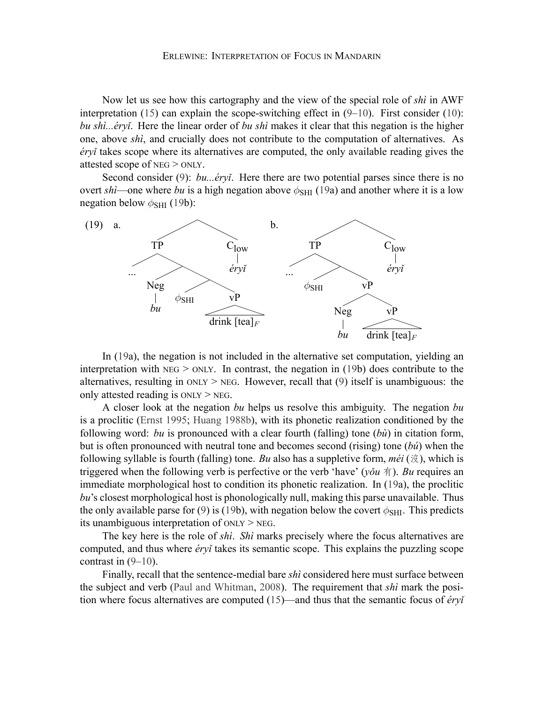Now let us see how this cartography and the view of the special role of *shì* in AWF interpretation $(15)$  can explain the scope-switching effect in  $(9-10)$  $(9-10)$  $(9-10)$  $(9-10)$ . First consider  $(10)$ : *bu shì...éryǐ*. Here the linear order of *bu shì* makes it clear that this negation is the higher one, above *shì*, and crucially does not contribute to the computation of alternatives. As *éryǐ* takes scope where its alternatives are computed, the only available reading gives the attested scope of NEG > ONLY.

Second consider [\(9](#page-5-0)): *bu...éryi*. Here there are two potential parses since there is no overt *shì*—one where *bu* is a high negation above  $\phi_{\text{SHI}}$  [\(19](#page-8-0)a) and another where it is a low negation below *ϕ*SHI [\(19](#page-8-0)b):

<span id="page-8-0"></span>

In([19a](#page-8-0)), the negation is not included in the alternative set computation, yielding an interpretation with  $NEG > ONLY$ . In contrast, the negation in [\(19](#page-8-0)b) does contribute to the alternatives,resulting in  $ONLY > NEG$ . However, recall that ([9\)](#page-5-0) itself is unambiguous: the only attested reading is ONLY > NEG.

A closer look at the negation *bu* helps us resolve this ambiguity. The negation *bu* is a proclitic([Ernst](#page-15-4) [1995;](#page-15-4) [Huang](#page-15-5) [1988b\)](#page-15-5), with its phonetic realization conditioned by the following word: *bu* is pronounced with a clear fourth (falling) tone (*bù*) in citation form, but is often pronounced with neutral tone and becomes second (rising) tone (*bú*) when the following syllable is fourth (falling) tone. *Bu* also has a suppletive form, *méi* (沒), which is triggered when the following verb is perfective or the verb 'have' (*yǒu* 有). *Bu* requires an immediate morphological host to condition its phonetic realization. In [\(19](#page-8-0)a), the proclitic *bu*'s closest morphological host is phonologically null, making this parse unavailable. Thus the only available parse for [\(9](#page-5-0))is ([19b](#page-8-0)), with negation below the covert  $\phi_{\text{SHI}}$ . This predicts its unambiguous interpretation of ONLY > NEG.

The key here is the role of *shì*. *Shì* marks precisely where the focus alternatives are computed, and thus where *éryǐ* takes its semantic scope. This explains the puzzling scope contrast in  $(9-10)$ .

Finally, recall that the sentence-medial bare *shì* considered here must surface between the subject and verb [\(Paul and Whitman,](#page-16-6) [2008](#page-16-6)). The requirement that *shì* mark the position where focus alternatives are computed [\(15](#page-6-0))—and thus that the semantic focus of *éryǐ*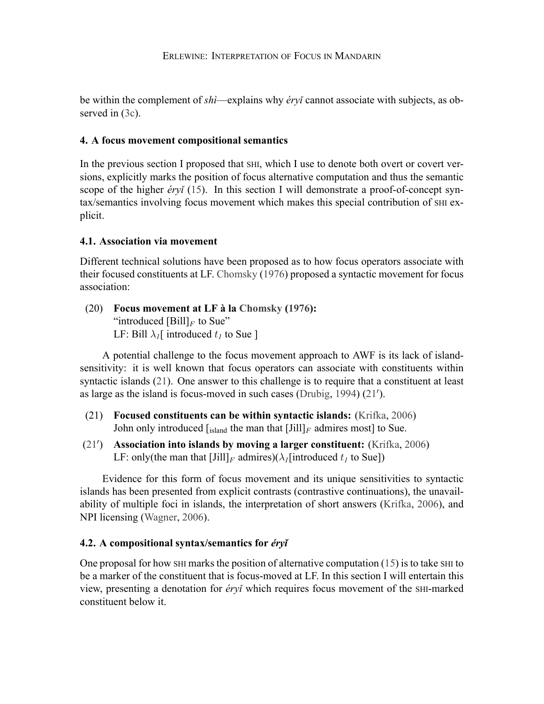be within the complement of *shì*—explains why *éryǐ* cannot associate with subjects, as observed in  $(3c)$ .

# **4. A focus movement compositional semantics**

In the previous section I proposed that SHI, which I use to denote both overt or covert versions, explicitly marks the position of focus alternative computation and thus the semantic scope of the higher *éryǐ* ([15\)](#page-6-0). In this section I will demonstrate a proof-of-concept syntax/semantics involving focus movement which makes this special contribution of SHI explicit.

# **4.1. Association via movement**

Different technical solutions have been proposed as to how focus operators associate with their focused constituents at LF. [Chomsky](#page-15-6) [\(1976](#page-15-6)) proposed a syntactic movement for focus association:

(20) **Focus movement at LF à la [Chomsky](#page-15-6) ([1976\)](#page-15-6):** "introduced  $[Bill]_F$  to Sue" LF: Bill  $\lambda_I$ [ introduced  $t_I$  to Sue ]

A potential challenge to the focus movement approach to AWF is its lack of islandsensitivity: it is well known that focus operators can associate with constituents within syntactic islands [\(21](#page-9-0)). One answer to this challenge is to require that a constituent at least as large as the island is focus-moved in such cases [\(Drubig](#page-15-7), [1994](#page-15-7)) [\(21](#page-9-0)*′* ).

- <span id="page-9-0"></span>(21) **Focused constituents can be within syntactic islands:** ([Krifka,](#page-16-9) [2006\)](#page-16-9) John only introduced  $\left[\right]_{\text{island}}$  the man that  $\left[\right]_{F}$  admires most to Sue.
- [\(21](#page-9-0)*′* ) **Association into islands by moving a larger constituent:** [\(Krifka,](#page-16-9) [2006\)](#page-16-9) LF: only(the man that  $\text{[Jill]}_F$  admires)( $\lambda_I$ [introduced  $t_I$  to Sue])

Evidence for this form of focus movement and its unique sensitivities to syntactic islands has been presented from explicit contrasts (contrastive continuations), the unavailability of multiple foci in islands, the interpretation of short answers([Krifka](#page-16-9), [2006\)](#page-16-9), and NPI licensing [\(Wagner](#page-16-10), [2006](#page-16-10)).

# **4.2. A compositional syntax/semantics for** *éryǐ*

One proposal for how  $SHI$  marks the position of alternative computation [\(15](#page-6-0)) is to take  $SHI$  to be a marker of the constituent that is focus-moved at LF. In this section I will entertain this view, presenting a denotation for *éryǐ* which requires focus movement of the SHI-marked constituent below it.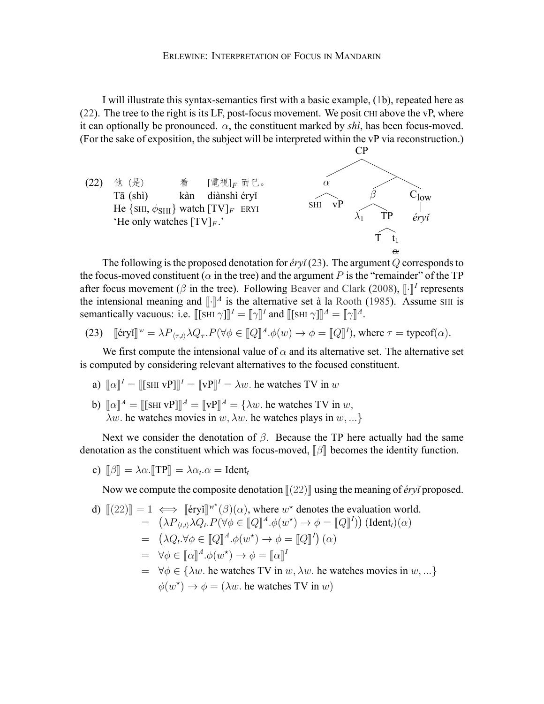I will illustrate this syntax-semantics first with a basic example,([1b](#page-0-0)), repeated here as  $(22)$  $(22)$ . The tree to the right is its LF, post-focus movement. We posit CHI above the vP, where it can optionally be pronounced.  $\alpha$ , the constituent marked by *shi*, has been focus-moved. (For the sake of exposition, the subject will be interpreted within the vP via reconstruction.)

<span id="page-10-0"></span>

The following is the proposed denotation for *éryǐ* ([23\)](#page-10-1). The argument *Q* corresponds to the focus-moved constituent ( $\alpha$  in the tree) and the argument P is the "remainder" of the TP after focus movement ( $\beta$  in the tree). Following [Beaver and Clark](#page-15-8) [\(2008\)](#page-15-8),  $\llbracket \cdot \rrbracket^I$  represents the intensional meaning and  $\llbracket \cdot \rrbracket^I$  is the altermative and  $\lambda$  le Reath (1095). A gauge sur is the intensional meaning and  $\llbracket \cdot \rrbracket^A$  is the alternative set à la [Rooth](#page-16-1) [\(1985](#page-16-1)). Assume SHI is<br>representing the second in  $\llbracket \cdot \rrbracket^A$  of  $\llbracket \cdot \rrbracket^A$  or  $\llbracket \cdot \rrbracket^A$  of  $\llbracket \cdot \rrbracket^A$ semantically vacuous: i.e.  $[[\text{SHI } \gamma]]^I = [[\gamma]]^I$  and  $[[\text{SHI } \gamma]]^A = [[\gamma]]^A$ .

<span id="page-10-1"></span>(23) 
$$
\llbracket \text{\'{c}ryi} \rrbracket^w = \lambda P_{\langle \tau, t \rangle} \lambda Q_{\tau}. P(\forall \phi \in \llbracket Q \rrbracket^A. \phi(w) \to \phi = \llbracket Q \rrbracket^I), \text{ where } \tau = \text{typeof}(\alpha).
$$

We first compute the intensional value of  $\alpha$  and its alternative set. The alternative set is computed by considering relevant alternatives to the focused constituent.

- a)  $\llbracket \alpha \rrbracket^I = \llbracket [\text{SHI vP}]\rrbracket^I = \llbracket \text{vP} \rrbracket^I = \lambda w$ . he watches TV in *w*
- b)  $[\![\alpha]\!]^A = [\![\text{SHI VP}]\!]^A = [\![\text{VP}]\!]^A = {\lambda w}$ . he watches TV in *w*, *λw.* he watches movies in *w, λw.* he watches plays in *w, ...}*

Next we consider the denotation of *β*. Because the TP here actually had the same denotation as the constituent which was focus-moved, **[β**] becomes the identity function.

c)  $[\![\beta]\!] = \lambda \alpha \cdot [\![\text{TP}]\!] = \lambda \alpha_t \cdot \alpha = \text{Ident}_t$ 

Now we compute the composite denotation  $\llbracket (22) \rrbracket$  $\llbracket (22) \rrbracket$  $\llbracket (22) \rrbracket$  using the meaning of *éry i* proposed.

d) 
$$
[ (22) ] = 1 \iff [\'eryi]^{w*}(\beta)(\alpha), \text{ where } w^* \text{ denotes the evaluation world.}
$$
  
\n
$$
= (\lambda P_{\langle t, t \rangle} \lambda Q_t.P(\forall \phi \in [\![Q]\!]^A.\phi(w^*) \to \phi = [\![Q]\!]^I)) (\text{Ident}_t)(\alpha)
$$
  
\n
$$
= (\lambda Q_t.\forall \phi \in [\![Q]\!]^A.\phi(w^*) \to \phi = [\![Q]\!]^I) (\alpha)
$$
  
\n
$$
= \forall \phi \in [\![\alpha]\!]^A.\phi(w^*) \to \phi = [\![\alpha]\!]^I
$$
  
\n
$$
= \forall \phi \in {\{\lambda w. \text{ he watches TV in } w, \lambda w. \text{ he watches movies in } w, ... }
$$
  
\n
$$
\phi(w^*) \to \phi = (\lambda w. \text{ he watches TV in } w)
$$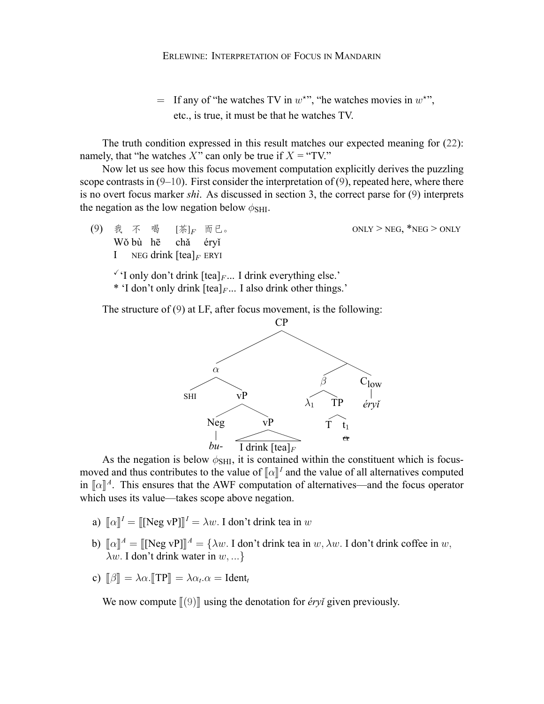$=$  If any of "he watches TV in  $w^*$ ", "he watches movies in  $w^*$ ", etc., is true, it must be that he watches TV.

The truth condition expressed in this result matches our expected meaning for([22\)](#page-10-0): namely, that "he watches  $X$ " can only be true if  $X =$  "TV."

Now let us see how this focus movement computation explicitly derives the puzzling scope contrasts in  $(9-10)$ . First consider the interpretation of  $(9)$ , repeated here, where there is no overt focus marker *shì*. As discussed in section 3, the correct parse for([9\)](#page-5-0) interprets the negation as the low negation below  $\phi$ <sub>SHI</sub>.

- $ONLY$   $>$   $NEG$ ,  $*$   $NEG$   $>$   $ONLY$ Wǒ bù hē I (9) 我不 NEG drink [tea]*<sup>F</sup>* ERYI 喝 [茶]*<sup>F</sup>* 而已。 chǎ éryǐ
	- $\check{Y}$  only don't drink  $[\text{tea}]_F$ ... I drink everything else.'
	- \* 'I don't only drink [tea]*<sup>F</sup>* ... I also drink other things.'

The structure of([9](#page-5-0)) at LF, after focus movement, is the following:



As the negation is below  $\phi$ <sub>SHI</sub>, it is contained within the constituent which is focusmoved and thus contributes to the value of  $\llbracket \alpha \rrbracket^I$  and the value of all alternatives computed<br>in  $\llbracket \alpha \rrbracket^I$  and the figure spectrum in  $\llbracket \alpha \rrbracket^A$ . This ensures that the AWF computation of alternatives—and the focus operator which uses its value—takes scope above negation.

- a)  $\llbracket \alpha \rrbracket^I = \llbracket [\text{Neg vP}]\rrbracket^I = \lambda w$ . I don't drink tea in *w*
- b)  $[\![\alpha]\!]^A = [\![\text{Neg vP}]\!]^A = {\lambda w. \text{ I don't drink tea in } w, \lambda w. \text{ I don't drink coffee in } w,$ *λw.* I don't drink water in *w, ...}*
- c)  $\llbracket \beta \rrbracket = \lambda \alpha$ .  $\llbracket \text{TP} \rrbracket = \lambda \alpha_t \alpha = \text{Ident}_t$

We now compute  $\llbracket (9) \rrbracket$  $\llbracket (9) \rrbracket$  $\llbracket (9) \rrbracket$  using the denotation for *éryǐ* given previously.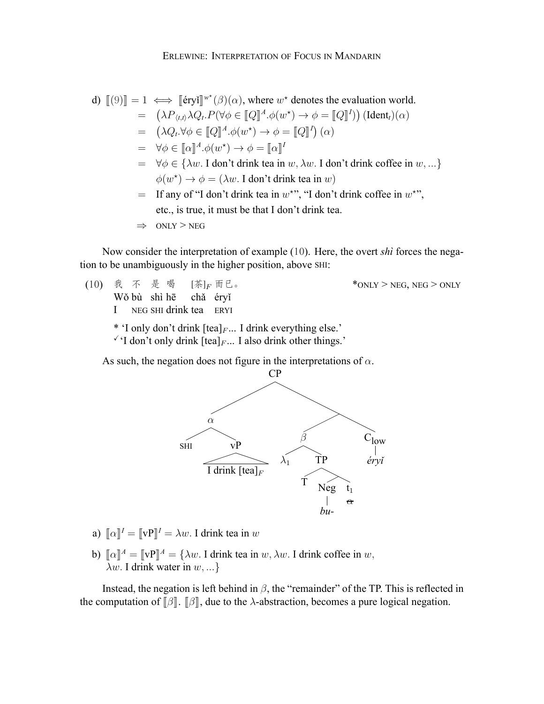d) 
$$
[[9]] = 1 \iff [[\text{eryi}]]^{w^*}(\beta)(\alpha), \text{ where } w^* \text{ denotes the evaluation world.}
$$
  
\n
$$
= (\lambda P_{\langle t, t \rangle} \lambda Q_t.P(\forall \phi \in [[Q]]^A.\phi(w^*) \rightarrow \phi = [[Q]]^I)) (\text{Ident}_t)(\alpha)
$$
  
\n
$$
= (\lambda Q_t.\forall \phi \in [[Q]]^A.\phi(w^*) \rightarrow \phi = [[Q]]^I)(\alpha)
$$
  
\n
$$
= \forall \phi \in [[\alpha]]^A.\phi(w^*) \rightarrow \phi = [[\alpha]]^I
$$
  
\n
$$
= \forall \phi \in {\lambda w. I \text{ don't drink tea in } w, \lambda w. I \text{ don't drink coffee in } w, ...}
$$
  
\n
$$
\phi(w^*) \rightarrow \phi = (\lambda w. I \text{ don't drink tea in } w)
$$
  
\nIf any of "I don't drink tea in  $w^{**}$ ," 'I don't drink coffee in  $w^{**}$ ,"  
\netc., is true, it must be that I don't drink tea.  
\n
$$
\Rightarrow \text{ONLY} > \text{NEG}
$$

Now consider the interpretation of example([10\)](#page-5-1). Here, the overt *shì* forces the negation to be unambiguously in the higher position, above SHI:

- $*$ ONLY > NEG, NEG > ONLY Wǒ bù shì hē I 不 是 喝 NEG SHI drink tea ERYI [茶]*<sup>F</sup>* 而已。 chǎ éryǐ \* 'I only don't drink [tea]*<sup>F</sup>* ... I drink everything else.'
	- $\checkmark$  I don't only drink  $[\text{tea}]_F$ ... I also drink other things.'

As such, the negation does not figure in the interpretations of *α*.



- a)  $[\![\alpha]\!]^I = [\![\mathbf{v}\mathbf{P}]\!]^I = \lambda w$ . I drink tea in *w*
- b)  $[\![\alpha]\!]^A = [\![\mathbf{v}\mathbf{P}]\!]^A = {\lambda w}$ . I drink tea in *w*,  $\lambda w$ . I drink coffee in *w*, *λw.* I drink water in *w, ...}*

Instead, the negation is left behind in *β*, the "remainder" of the TP. This is reflected in the computation of  $\lbrack \beta \rbrack$ .  $\lbrack \beta \rbrack$ , due to the *λ*-abstraction, becomes a pure logical negation.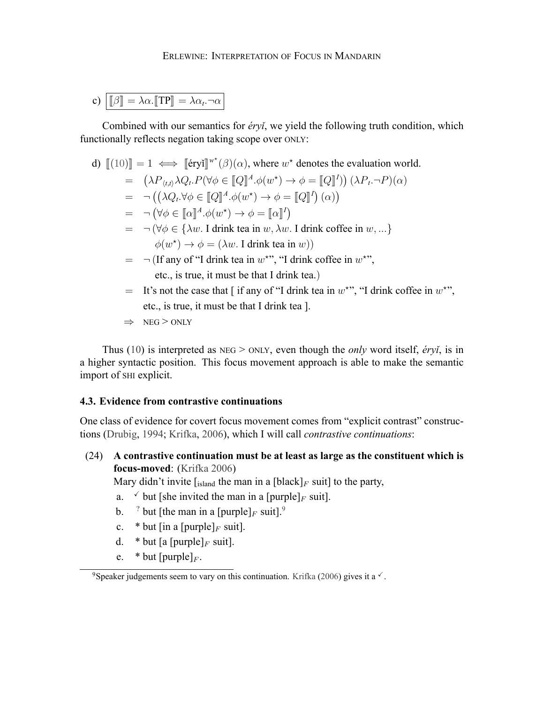c) 
$$
\boxed{\llbracket \beta \rrbracket = \lambda \alpha. \llbracket \text{TP} \rrbracket = \lambda \alpha_t. \neg \alpha}
$$

Combined with our semantics for *éryǐ*, we yield the following truth condition, which functionally reflects negation taking scope over ONLY:

d)  $[[(10)]] = 1 \iff [[\text{\'{e}ryi}]]^{w^*}(\beta)(\alpha)$  $[[(10)]] = 1 \iff [[\text{\'{e}ryi}]]^{w^*}(\beta)(\alpha)$  $[[(10)]] = 1 \iff [[\text{\'{e}ryi}]]^{w^*}(\beta)(\alpha)$ , where  $w^*$  denotes the evaluation world.

$$
= (\lambda P_{\langle t,t\rangle}\lambda Q_t.P(\forall \phi \in [\![Q]\!]^A.\phi(w^*) \to \phi = [\![Q]\!]^I)) (\lambda P_t.\neg P)(\alpha)
$$

- $= \neg ((\lambda Q_t. \forall \phi \in [Q]^A \cdot \phi(w^*) \rightarrow \phi = [Q]^I) (\alpha))$
- $= \neg (\forall \phi \in [\![\alpha]\!]^A \cdot \phi(w^*) \rightarrow \phi = [\![\alpha]\!]^I$
- = *¬* (*∀ϕ ∈ {λw.* I drink tea in *w, λw.* I drink coffee in *w, ...}*  $\phi(w^*) \to \phi = (\lambda w$ . I drink tea in *w*))
- $=$   $\neg$  (If any of "I drink tea in  $w^*$ ", "I drink coffee in  $w^*$ ", etc., is true, it must be that I drink tea.)
- $=$  It's not the case that [if any of "I drink tea in  $w^*$ ", "I drink coffee in  $w^*$ ", etc., is true, it must be that I drink tea ].
- *⇒* NEG > ONLY

Thus([10\)](#page-5-1) is interpreted as NEG > ONLY, even though the *only* word itself, *éryǐ*, is in a higher syntactic position. This focus movement approach is able to make the semantic import of SHI explicit.

### **4.3. Evidence from contrastive continuations**

One class of evidence for covert focus movement comes from "explicit contrast" constructions [\(Drubig](#page-15-7), [1994;](#page-15-7) [Krifka](#page-16-9), [2006](#page-16-9)), which I will call *contrastive continuations*:

(24) **A contrastive continuation must be at least as large as the constituent which is focus-moved**:([Krifka](#page-16-9) [2006\)](#page-16-9)

Mary didn't invite  $\left[\right]_{\text{island}}$  the man in a  $\left[\text{black}\right]_F$  suit] to the party,

- a.  $\checkmark$  but [she invited the man in a [purple]<sub>*F*</sub> suit].
- b. <sup>?</sup> but [the man in a [purple]<sub>*F*</sub> suit].<sup>9</sup>
- c.  $*$  but [in a [purple]<sub>*F*</sub> suit].
- d.  $*$  but [a [purple]<sub>*F*</sub> suit].
- e.  $*$  but [purple]<sub>*F*</sub>.

<sup>&</sup>lt;sup>9</sup>Speaker judgements seem to vary on this continuation. [Krifka](#page-16-9) [\(2006](#page-16-9)) gives it a  $\sqrt{\ }$ .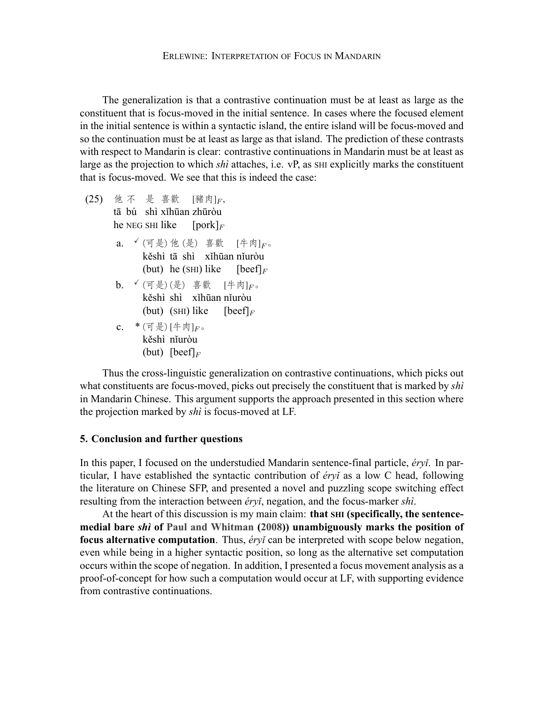The generalization is that a contrastive continuation must be at least as large as the constituent that is focus-moved in the initial sentence. In cases where the focused element in the initial sentence is within a syntactic island, the entire island will be focus-moved and so the continuation must be at least as large as that island. The prediction of these contrasts with respect to Mandarin is clear: contrastive continuations in Mandarin must be at least as large as the projection to which *shì* attaches, i.e. vP, as SHI explicitly marks the constituent that is focus-moved. We see that this is indeed the case:

(25) 他 不 是 喜歡 [豬肉]*<sup>F</sup>* , tā bú shì xǐhūan zhūròu

he NEG SHI like [pork]*<sup>F</sup>*

- a. <sup>√</sup> (可是) 他 (是) 喜歡 [牛肉]<sub>F</sub>。 kěshì tā shì xǐhūan nǐuròu (but) he (SHI) like  $[**beef**]$ <sub>*F*</sub>
- **b**. <sup>√</sup> (可是) (是) 喜歡 [牛肉]<sub>F</sub>。 kěshì shì xǐhūan nǐuròu (but) (SHI) like  $[beef]_F$
- c. \* (可是) [牛肉]*F*。 kěshì nǐuròu (but) [beef]*<sup>F</sup>*

Thus the cross-linguistic generalization on contrastive continuations, which picks out what constituents are focus-moved, picks out precisely the constituent that is marked by *shì* in Mandarin Chinese. This argument supports the approach presented in this section where the projection marked by *shì* is focus-moved at LF.

### **5. Conclusion and further questions**

In this paper, I focused on the understudied Mandarin sentence-final particle, *éryǐ*. In particular, I have established the syntactic contribution of *éryǐ* as a low C head, following the literature on Chinese SFP, and presented a novel and puzzling scope switching effect resulting from the interaction between *éryǐ*, negation, and the focus-marker *shì*.

At the heart of this discussion is my main claim: **that SHI (specifically, the sentencemedial bare** *shì* **of [Paul and Whitman](#page-16-6) ([2008\)](#page-16-6)) unambiguously marks the position of focus alternative computation**. Thus, *éryǐ* can be interpreted with scope below negation, even while being in a higher syntactic position, so long as the alternative set computation occurs within the scope of negation. In addition, I presented a focus movement analysis as a proof-of-concept for how such a computation would occur at LF, with supporting evidence from contrastive continuations.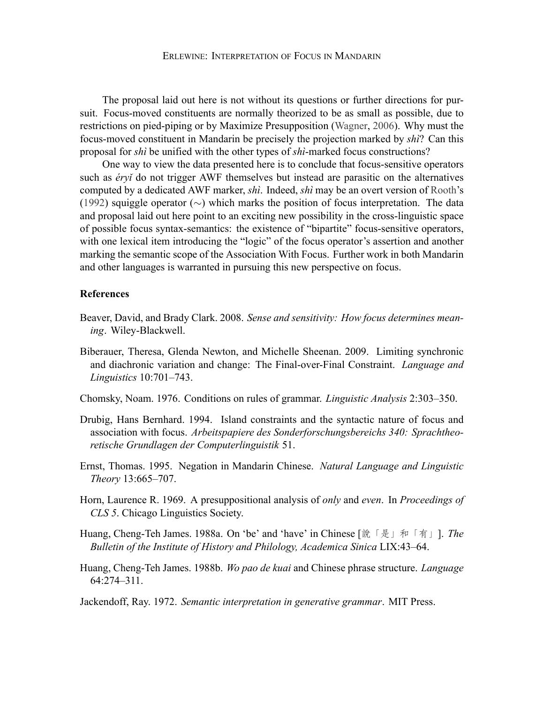The proposal laid out here is not without its questions or further directions for pursuit. Focus-moved constituents are normally theorized to be as small as possible, due to restrictions on pied-piping or by Maximize Presupposition([Wagner,](#page-16-10) [2006\)](#page-16-10). Why must the focus-moved constituent in Mandarin be precisely the projection marked by *shì*? Can this proposal for *shì* be unified with the other types of *shì*-marked focus constructions?

One way to view the data presented here is to conclude that focus-sensitive operators such as *éryǐ* do not trigger AWF themselves but instead are parasitic on the alternatives computed by a dedicated AWF marker, *shì*. Indeed, *shì* may be an overt version of [Rooth](#page-16-7)'s ([1992\)](#page-16-7) squiggle operator (*∼*) which marks the position of focus interpretation. The data and proposal laid out here point to an exciting new possibility in the cross-linguistic space of possible focus syntax-semantics: the existence of "bipartite" focus-sensitive operators, with one lexical item introducing the "logic" of the focus operator's assertion and another marking the semantic scope of the Association With Focus. Further work in both Mandarin and other languages is warranted in pursuing this new perspective on focus.

### **References**

- <span id="page-15-8"></span>Beaver, David, and Brady Clark. 2008. *Sense and sensitivity: How focus determines meaning*. Wiley-Blackwell.
- <span id="page-15-2"></span>Biberauer, Theresa, Glenda Newton, and Michelle Sheenan. 2009. Limiting synchronic and diachronic variation and change: The Final-over-Final Constraint. *Language and Linguistics* 10:701–743.
- <span id="page-15-6"></span>Chomsky, Noam. 1976. Conditions on rules of grammar. *Linguistic Analysis* 2:303–350.
- <span id="page-15-7"></span>Drubig, Hans Bernhard. 1994. Island constraints and the syntactic nature of focus and association with focus. *Arbeitspapiere des Sonderforschungsbereichs 340: Sprachtheoretische Grundlagen der Computerlinguistik* 51.
- <span id="page-15-4"></span>Ernst, Thomas. 1995. Negation in Mandarin Chinese. *Natural Language and Linguistic Theory* 13:665–707.
- <span id="page-15-0"></span>Horn, Laurence R. 1969. A presuppositional analysis of *only* and *even*. In *Proceedings of CLS 5*. Chicago Linguistics Society.
- <span id="page-15-3"></span>Huang, Cheng-Teh James. 1988a. On 'be' and 'have' in Chinese [說「是」和「有」]. *The Bulletin of the Institute of History and Philology, Academica Sinica* LIX:43–64.
- <span id="page-15-5"></span>Huang, Cheng-Teh James. 1988b. *Wo pao de kuai* and Chinese phrase structure. *Language* 64:274–311.

<span id="page-15-1"></span>Jackendoff, Ray. 1972. *Semantic interpretation in generative grammar*. MIT Press.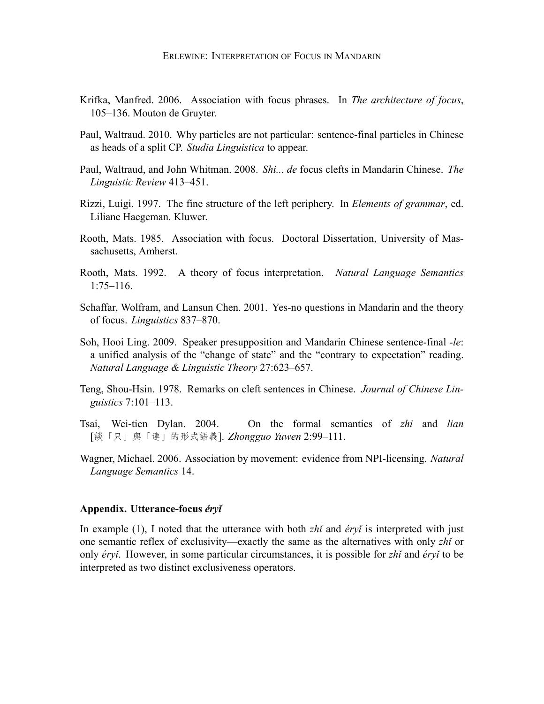- <span id="page-16-9"></span>Krifka, Manfred. 2006. Association with focus phrases. In *The architecture of focus*, 105–136. Mouton de Gruyter.
- <span id="page-16-2"></span>Paul, Waltraud. 2010. Why particles are not particular: sentence-final particles in Chinese as heads of a split CP. *Studia Linguistica* to appear.
- <span id="page-16-6"></span>Paul, Waltraud, and John Whitman. 2008. *Shi... de* focus clefts in Mandarin Chinese. *The Linguistic Review* 413–451.
- <span id="page-16-3"></span>Rizzi, Luigi. 1997. The fine structure of the left periphery. In *Elements of grammar*, ed. Liliane Haegeman. Kluwer.
- <span id="page-16-1"></span>Rooth, Mats. 1985. Association with focus. Doctoral Dissertation, University of Massachusetts, Amherst.
- <span id="page-16-7"></span>Rooth, Mats. 1992. A theory of focus interpretation. *Natural Language Semantics* 1:75–116.
- <span id="page-16-8"></span>Schaffar, Wolfram, and Lansun Chen. 2001. Yes-no questions in Mandarin and the theory of focus. *Linguistics* 837–870.
- <span id="page-16-4"></span>Soh, Hooi Ling. 2009. Speaker presupposition and Mandarin Chinese sentence-final *-le*: a unified analysis of the "change of state" and the "contrary to expectation" reading. *Natural Language & Linguistic Theory* 27:623–657.
- <span id="page-16-5"></span>Teng, Shou-Hsin. 1978. Remarks on cleft sentences in Chinese. *Journal of Chinese Linguistics* 7:101–113.
- <span id="page-16-0"></span>Tsai, Wei-tien Dylan. 2004. On the formal semantics of *zhi* and *lian* [談「只」與「連」的形式語義]. *Zhongguo Yuwen* 2:99–111.
- <span id="page-16-10"></span>Wagner, Michael. 2006. Association by movement: evidence from NPI-licensing. *Natural Language Semantics* 14.

### **Appendix. Utterance-focus** *éryǐ*

In example([1\)](#page-0-0), I noted that the utterance with both *zhǐ* and *éryǐ* is interpreted with just one semantic reflex of exclusivity—exactly the same as the alternatives with only *zhǐ* or only *éryǐ*. However, in some particular circumstances, it is possible for *zhǐ* and *éryǐ* to be interpreted as two distinct exclusiveness operators.